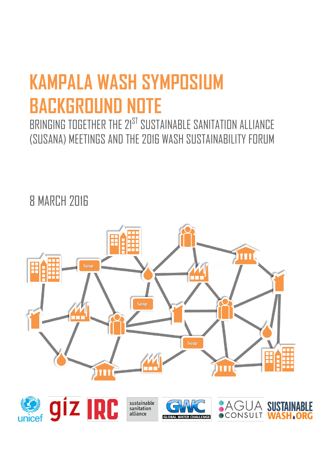# **KAMPALA WASH SYMPOSIUM BACKGROUND NOTE**

BRINGING TOGETHER THE 21ST SUSTAINABLE SANITATION ALLIANCE (SUSANA) MEETINGS AND THE 2016 WASH SUSTAINABILITY FORUM

# **8 MARCH 2016**

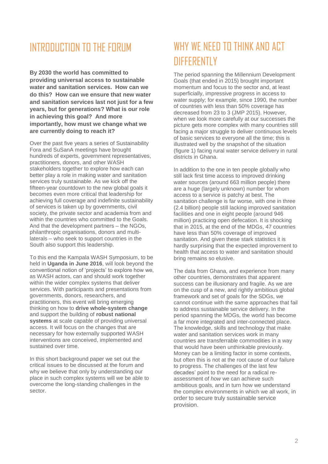## INTRODUCTION TO THE FORUM

**By 2030 the world has committed to providing universal access to sustainable water and sanitation services. How can we do this? How can we ensure that new water and sanitation services last not just for a few years, but for generations? What is our role in achieving this goal? And more importantly, how must we change what we are currently doing to reach it?**

Over the past five years a series of Sustainability Fora and SuSanA meetings have brought hundreds of experts, government representatives, practitioners, donors, and other WASH stakeholders together to explore how each can better play a role in making water and sanitation services truly sustainable. As we kick off the fifteen-year countdown to the new global goals it becomes even more critical that leadership for achieving full coverage and indefinite sustainability of services is taken up by governments, civil society, the private sector and academia from and within the countries who committed to the Goals. And that the development partners – the NGOs, philanthropic organisations, donors and multilaterals – who seek to support countries in the South also support this leadership.

To this end the Kampala WASH Symposium, to be held in **Uganda in June 2016**, will look beyond the conventional notion of 'projects' to explore how we, as WASH actors, can and should work together within the wider complex systems that deliver services. With participants and presentations from governments, donors, researchers, and practitioners, this event will bring emerging thinking on how to **drive whole-system change** and support the building of **robust national systems** at scale capable of providing universal access. It will focus on the changes that are necessary for how externally supported WASH interventions are conceived, implemented and sustained over time.

In this short background paper we set out the critical issues to be discussed at the forum and why we believe that only by understanding our place in such complex systems will we be able to overcome the long-standing challenges in the sector.

# WHY WE NFED TO THINK AND ACT DIFFERENTLY

The period spanning the Millennium Development Goals (that ended in 2015) brought important momentum and focus to the sector and, at least superficially, impressive progress in access to water supply; for example, since 1990, the number of countries with less than 50% coverage has decreased from 23 to 3 (JMP 2015). However, when we look more carefully at our successes the picture gets more complex with many countries still facing a major struggle to deliver continuous levels of basic services to everyone all the time; this is illustrated well by the snapshot of the situation (figure 1) facing rural water service delivery in rural districts in Ghana.

In addition to the one in ten people globally who still lack first time access to improved drinking water sources (around 663 million people) there are a huge (largely unknown) number for whom access to a service is patchy at best. The sanitation challenge is far worse, with one in three (2.4 billion) people still lacking improved sanitation facilities and one in eight people (around 946 million) practicing open defecation. It is shocking that in 2015, at the end of the MDGs, 47 countries have less than 50% coverage of improved sanitation. And given these stark statistics it is hardly surprising that the expected improvement to health that access to water and sanitation should bring remains so elusive.

The data from Ghana, and experience from many other countries, demonstrates that apparent success can be illusionary and fragile. As we are on the cusp of a new, and rightly ambitious global framework and set of goals for the SDGs, we cannot continue with the same approaches that fail to address sustainable service delivery. In the period spanning the MDGs, the world has become a far more integrated and inter-connected place. The knowledge, skills and technology that make water and sanitation services work in many countries are transferrable commodities in a way that would have been unthinkable previously. Money can be a limiting factor in some contexts, but often this is not at the root cause of our failure to progress. The challenges of the last few decades' point to the need for a radical reassessment of *how* we can achieve such ambitious goals, and in turn how we understand the complex environments in which we all work, in order to secure truly sustainable service provision.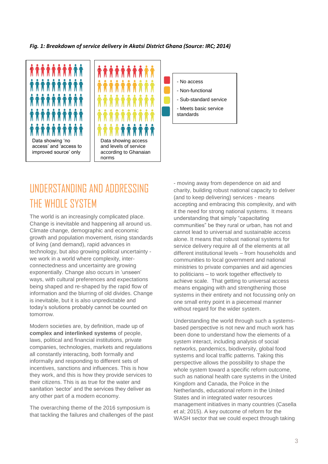#### *Fig. 1: Breakdown of service delivery in Akatsi District Ghana (Source: IRC; 2014)*







# UNDERSTANDING AND ADDRESSING THE WHOLE SYSTEM

The world is an increasingly complicated place. Change is inevitable and happening all around us. Climate change, demographic and economic growth and population movement, rising standards of living (and demand), rapid advances in technology, but also growing political uncertainty we work in a world where complexity, interconnectedness and uncertainty are growing exponentially. Change also occurs in 'unseen' ways, with cultural preferences and expectations being shaped and re-shaped by the rapid flow of information and the blurring of old divides. Change is inevitable, but it is also unpredictable and today's solutions probably cannot be counted on tomorrow.

Modern societies are, by definition, made up of **complex and interlinked systems** of people, laws, political and financial institutions, private companies, technologies, markets and regulations all constantly interacting, both formally and informally and responding to different sets of incentives, sanctions and influences. This is how they work, and this is how they provide services to their citizens. This is as true for the water and sanitation 'sector' and the services they deliver as any other part of a modern economy.

The overarching theme of the 2016 symposium is that tackling the failures and challenges of the past - moving away from dependence on aid and charity, building robust national capacity to deliver (and to keep delivering) services - means accepting and embracing this complexity, and with it the need for strong national systems. It means understanding that simply "capacitating communities" be they rural or urban, has not and cannot lead to universal and sustainable access alone. It means that robust national systems for service delivery require all of the elements at all different institutional levels – from households and communities to local government and national ministries to private companies and aid agencies to politicians – to work together effectively to achieve scale. That getting to universal access means engaging with and strengthening those systems in their entirety and not focussing only on one small entry point in a piecemeal manner without regard for the wider system.

Understanding the world through such a systemsbased perspective is not new and much work has been done to understand how the elements of a system interact, including analysis of social networks, pandemics, biodiversity, global food systems and local traffic patterns. Taking this perspective allows the possibility to shape the whole system toward a specific reform outcome, such as national health care systems in the United Kingdom and Canada, the Police in the Netherlands, educational reform in the United States and in integrated water resources management initiatives in many countries (Casella et al; 2015). A key outcome of reform for the WASH sector that we could expect through taking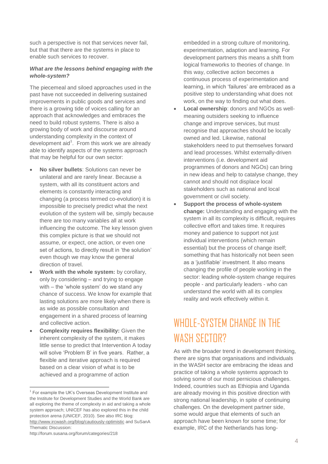such a perspective is not that services never fail, but that that there are the systems in place to enable such services to recover.

#### *What are the lessons behind engaging with the whole-system?*

The piecemeal and siloed approaches used in the past have not succeeded in delivering sustained improvements in public goods and services and there is a growing tide of voices calling for an approach that acknowledges and embraces the need to build robust systems. There is also a growing body of work and discourse around understanding complexity in the context of development  $aid<sup>1</sup>$ . From this work we are already able to identify aspects of the systems approach that may be helpful for our own sector:

- **No silver bullets**: Solutions can never be unilateral and are rarely linear. Because a system, with all its constituent actors and elements is constantly interacting and changing (a process termed co-evolution) it is impossible to precisely predict what the next evolution of the system will be, simply because there are too many variables all at work influencing the outcome. The key lesson given this complex picture is that we should not assume, or expect, one action, or even one set of actions, to directly result in 'the solution' even though we may know the general direction of travel.
- **Work with the whole system:** by corollary, only by considering – and trying to engage with – the 'whole system' do we stand any chance of success. We know for example that lasting solutions are more likely when there is as wide as possible consultation and engagement in a shared process of learning and collective action.
- **Complexity requires flexibility:** Given the inherent complexity of the system, it makes little sense to predict that Intervention A today will solve 'Problem B' in five years. Rather, a flexible and iterative approach is required based on a clear vision of what is to be achieved and a programme of action

embedded in a strong culture of monitoring, experimentation, adaption and learning. For development partners this means a shift from logical frameworks to theories of change. In this way, collective action becomes a continuous process of experimentation and learning, in which 'failures' are embraced as a positive step to understanding what does not work, on the way to finding out what does.

- **Local ownership**: donors and NGOs as wellmeaning outsiders seeking to influence change and improve services, but must recognise that approaches should be locally owned and led. Likewise, national stakeholders need to put themselves forward and lead processes. Whilst externally-driven interventions (i.e. development aid programmes of donors and NGOs) can bring in new ideas and help to catalyse change, they cannot and should not displace local stakeholders such as national and local government or civil society.
- **Support the process of whole-system change:** Understanding and engaging with the system in all its complexity is difficult, requires collective effort and takes time. It requires money and patience to support not just individual interventions (which remain essential) but the process of change itself; something that has historically not been seen as a 'justifiable' investment. It also means changing the profile of people working in the sector: leading whole-system change requires people - and particularly leaders - who can understand the world with all its complex reality and work effectively within it.

# WHOLE-SYSTEM CHANGE IN THE WASH SECTOR?

As with the broader trend in development thinking, there are signs that organisations and individuals in the WASH sector are embracing the ideas and practice of taking a whole systems approach to solving some of our most pernicious challenges. Indeed, countries such as Ethiopia and Uganda are already moving in this positive direction with strong national leadership, in spite of continuing challenges. On the development partner side, some would argue that elements of such an approach have been known for some time; for example, IRC of the Netherlands has long-

<sup>-</sup><sup>1</sup> For example the UK's Overseas Development Institute and the Institute for Development Studies and the World Bank are all exploring the theme of complexity in aid and taking a whole system approach; UNICEF has also explored this in the child protection arena (UNICEF, 2010). See also IRC blog: <http://www.ircwash.org/blog/cautiously-optimistic> and SuSanA Thematic Discussion:

http://forum.susana.org/forum/categories/218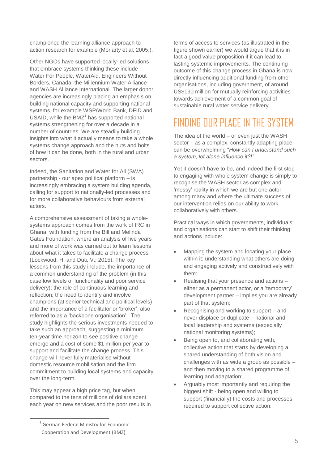championed the learning alliance approach to action research for example (Moriarty et al, 2005,).

Other NGOs have supported locally-led solutions that embrace systems thinking these include Water For People, WaterAid, Engineers Without Borders, Canada, the Millennium Water Alliance and WASH Alliance International. The larger donor agencies are increasingly placing an emphasis on building national capacity and supporting national systems, for example WSP/World Bank, DFID and USAID, while the BMZ<sup>2</sup> has supported national systems strengthening for over a decade in a number of countries. We are steadily building insights into what it actually means to take a whole systems change approach and the nuts and bolts of how it can be done, both in the rural and urban sectors.

Indeed, the Sanitation and Water for All (SWA) partnership - our apex political platform – is increasingly embracing a system building agenda, calling for support to nationally-led processes and for more collaborative behaviours from external actors.

A comprehensive assessment of taking a wholesystems approach comes from the work of IRC in Ghana, with funding from the Bill and Melinda Gates Foundation, where an analysis of five years and more of work was carried out to learn lessons about what it takes to facilitate a change process (Lockwood, H. and Duti, V.; 2015). The key lessons from this study include, the importance of a common understanding of the problem (in this case low levels of functionality and poor service delivery); the role of continuous learning and reflection; the need to identify and involve champions (at senior technical and political levels) and the importance of a facilitator or 'broker', also referred to as a 'backbone organisation'. The study highlights the serious investments needed to take such an approach, suggesting a minimum ten-year time horizon to see positive change emerge and a cost of some \$1 million per year to support and facilitate the change process. This change will never fully materialise without domestic resource mobilisation and the firm commitment to building local systems and capacity over the long-term.

This may appear a high price tag, but when compared to the tens of millions of dollars spent each year on new services and the poor results in

-

terms of access to services (as illustrated in the figure shown earlier) we would argue that it is in fact a good value proposition if it can lead to lasting systemic improvements. The continuing outcome of this change process in Ghana is now directly influencing additional funding from other organisations, including government, of around US\$190 million for mutually reinforcing activities towards achievement of a common goal of sustainable rural water service delivery.

# FINDING OUR PLACE IN THE SYSTEM

The idea of the world – or even just the WASH sector – as a complex, constantly adapting place can be overwhelming "*How can I understand such a system, let alone influence it?!"*

Yet it doesn't have to be, and indeed the first step to engaging with whole system change is simply to recognise the WASH sector as complex and 'messy' reality in which we are but one actor among many and where the ultimate success of our intervention relies on our ability to work collaboratively with others.

Practical ways in which governments, individuals and organisations can start to shift their thinking and actions include:

- Mapping the system and locating your place within it; understanding what others are doing and engaging actively and constructively with them;
- Realising that your presence and actions either as a permanent actor, or a 'temporary' development partner – implies you are already part of that system;
- Recognising and working to support and never displace or duplicate – national and local leadership and systems (especially national monitoring systems);
- Being open to, and collaborating with, collective action that starts by developing a shared understanding of both vision and challenges with as wide a group as possible – and then moving to a shared programme of learning and adaptation;
- Arguably most importantly and requiring the biggest shift - being open and willing to support (financially) the costs and processes required to support collective action;

<sup>&</sup>lt;sup>2</sup> German Federal Ministry for Economic Cooperation and Development (BMZ)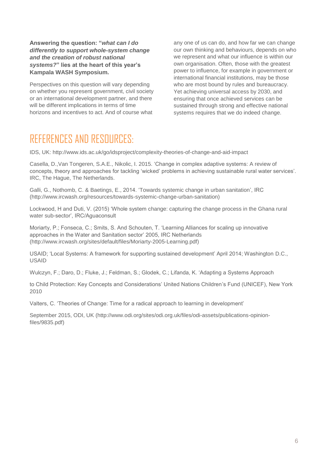#### **Answering the question: "***what can I do differently to support whole-system change and the creation of robust national systems?***" lies at the heart of this year's Kampala WASH Symposium.**

Perspectives on this question will vary depending on whether you represent government, civil society or an international development partner, and there will be different implications in terms of time horizons and incentives to act. And of course what

any one of us can do, and how far we can change our own thinking and behaviours, depends on who we represent and what our influence is within our own organisation. Often, those with the greatest power to influence, for example in government or international financial institutions, may be those who are most bound by rules and bureaucracy. Yet achieving universal access by 2030, and ensuring that once achieved services can be sustained through strong and effective national systems requires that we do indeed change.

## REFERENCES AND RESOURCES.

IDS, UK:<http://www.ids.ac.uk/go/idsproject/complexity-theories-of-change-and-aid-impact>

Casella, D.,Van Tongeren, S.A.E., Nikolic, I. 2015. 'Change in complex adaptive systems: A review of concepts, theory and approaches for tackling 'wicked' problems in achieving sustainable rural water services'. IRC, The Hague, The Netherlands.

[Galli, G.,](http://www.ircwash.org/biblio/author/17483) [Nothomb, C.](http://www.ircwash.org/biblio/author/17407) & [Baetings, E.,](http://www.ircwash.org/biblio/author/15872) 2014. ['Towards systemic change in urban sanitation',](http://www.ircwash.org/resources/towards-systemic-change-urban-sanitation) IRC [\(http://www.ircwash.org/resources/towards-systemic-change-urban-sanitation\)](http://www.ircwash.org/resources/towards-systemic-change-urban-sanitation)

Lockwood, H and Duti, V. (2015) 'Whole system change: capturing the change process in the Ghana rural water sub-sector', IRC/Aguaconsult

Moriarty, P.; Fonseca, C.; Smits, S. And Schouten, T. 'Learning Alliances for scaling up innovative approaches in the Water and Sanitation sector' 2005, IRC Netherlands [\(http://www.ircwash.org/sites/default/files/Moriarty-2005-Learning.pdf\)](http://www.ircwash.org/sites/default/files/Moriarty-2005-Learning.pdf)

USAID; 'Local Systems: A framework for supporting sustained development' April 2014; Washington D.C., USAID

Wulczyn, F.; Daro, D.; Fluke, J.; Feldman, S.; Glodek, C.; Lifanda, K. 'Adapting a Systems Approach

to Child Protection: Key Concepts and Considerations' United Nations Children's Fund (UNICEF), New York 2010

Valters, C. 'Theories of Change: Time for a radical approach to learning in development'

September 2015, ODI, UK [\(http://www.odi.org/sites/odi.org.uk/files/odi-assets/publications-opinion](http://www.odi.org/sites/odi.org.uk/files/odi-assets/publications-opinion-files/9835.pdf)[files/9835.pdf\)](http://www.odi.org/sites/odi.org.uk/files/odi-assets/publications-opinion-files/9835.pdf)